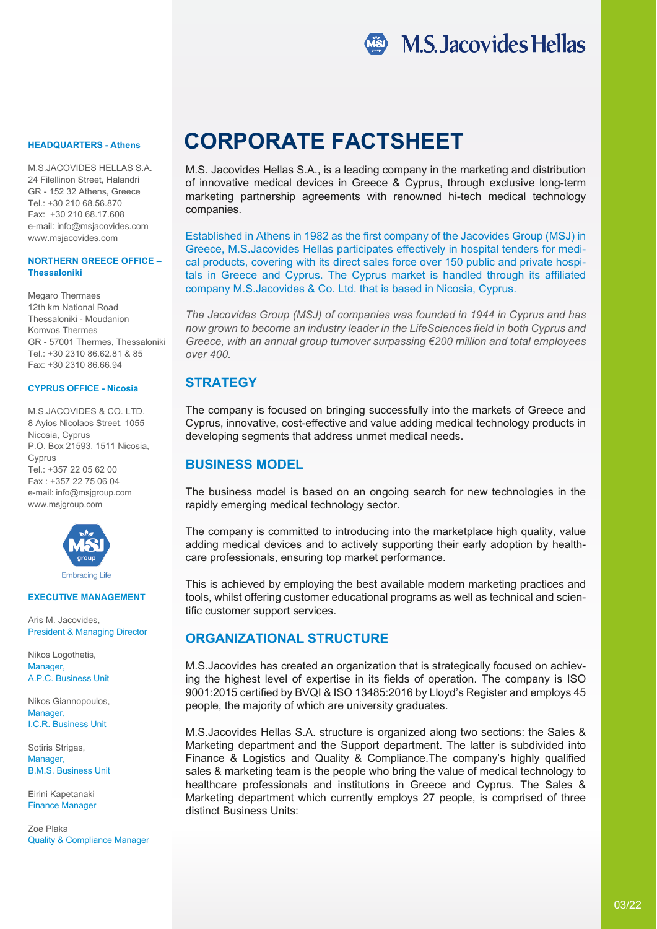

M.S.JACOVIDES HELLAS S.A. 24 Filellinon Street, Halandri GR - 152 32 Athens, Greece Τel.: +30 210 68.56.870 Fax: +30 210 68.17.608 e-mail: info@msjacovides.com www.msjacovides.com

#### **NORTHERN GREECE OFFICE – Thessaloniki**

Megaro Thermaes 12th km National Road Thessaloniki - Moudanion Komvos Thermes GR - 57001 Thermes, Thessaloniki Tel.: +30 2310 86.62.81 & 85 Fax: +30 2310 86.66.94

#### **CYPRUS OFFICE - Nicosia**

M.S.JACOVIDES & CO. LTD. 8 Ayios Nicolaos Street, 1055 Nicosia, Cyprus P.O. Box 21593, 1511 Nicosia, Cyprus Tel: +357 22 05 62 00 Fax : +357 22 75 06 04 e-mail: info@msjgroup.com www.msjgroup.com



#### **EXECUTIVE MANAGEMENT**

Aris M. Jacovides, President & Managing Director

Nikos Logothetis, Manager. A.P.C. Business Unit

Nikos Giannopoulos, Manager I.C.R. Business Unit

Sotiris Strigas, Manager B.M.S. Business Unit

Eirini Kapetanaki Finance Manager

Zoe Plaka Quality & Compliance Manager

# **HEADQUARTERS - Athens CORPORATE FACTSHEET**

M.S. Jacovides Hellas S.A., is a leading company in the marketing and distribution of innovative medical devices in Greece & Cyprus, through exclusive long-term marketing partnership agreements with renowned hi-tech medical technology companies.

Established in Athens in 1982 as the first company of the Jacovides Group (MSJ) in Greece, M.S.Jacovides Hellas participates effectively in hospital tenders for medical products, covering with its direct sales force over 150 public and private hospitals in Greece and Cyprus. The Cyprus market is handled through its affiliated company M.S.Jacovides & Co. Ltd. that is based in Nicosia, Cyprus.

*The Jacovides Group (MSJ) of companies was founded in 1944 in Cyprus and has now grown to become an industry leader in the LifeSciences field in both Cyprus and Greece, with an annual group turnover surpassing €200 million and total employees over 400.*

# **STRATEGY**

The company is focused on bringing successfully into the markets of Greece and Cyprus, innovative, cost-effective and value adding medical technology products in developing segments that address unmet medical needs.

## **BUSINESS MODEL**

The business model is based on an ongoing search for new technologies in the rapidly emerging medical technology sector.

The company is committed to introducing into the marketplace high quality, value adding medical devices and to actively supporting their early adoption by healthcare professionals, ensuring top market performance.

This is achieved by employing the best available modern marketing practices and tools, whilst offering customer educational programs as well as technical and scientific customer support services.

#### **ORGANIZATIONAL STRUCTURE**

M.S.Jacovides has created an organization that is strategically focused on achieving the highest level of expertise in its fields of operation. The company is ISO 9001:2015 certified by BVQI & ISO 13485:2016 by Lloyd's Register and employs 45 people, the majority of which are university graduates.

M.S.Jacovides Hellas S.A. structure is organized along two sections: the Sales & Marketing department and the Support department. The latter is subdivided into Finance & Logistics and Quality & Compliance.The company's highly qualified sales & marketing team is the people who bring the value of medical technology to healthcare professionals and institutions in Greece and Cyprus. The Sales & Marketing department which currently employs 27 people, is comprised of three distinct Business Units: